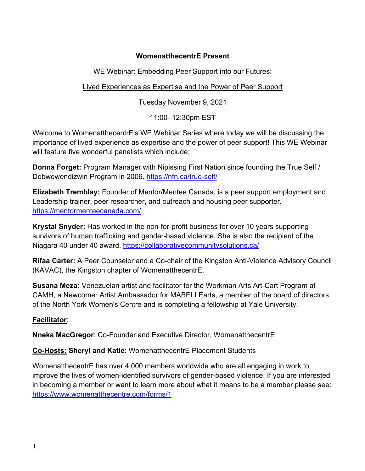# **WomenatthecentrE Present**

# WE Webinar: Embedding Peer Support into our Futures:

# Lived Experiences as Expertise and the Power of Peer Support

Tuesday November 9, 2021

11:00- 12:30pm EST

Welcome to WomenatthecentrE's WE Webinar Series where today we will be discussing the importance of lived experience as expertise and the power of peer support! This WE Webinar will feature five wonderful panelists which include;

**Donna Forget:** Program Manager with Nipissing First Nation since founding the True Self / Debwewendizwin Program in 2006. https://nfn.ca/true-self/

**Elizabeth Tremblay:** Founder of Mentor/Mentee Canada, is a peer support employment and Leadership trainer, peer researcher, and outreach and housing peer supporter. https://mentormenteecanada.com/

**Krystal Snyder:** Has worked in the non-for-profit business for over 10 years supporting survivors of human trafficking and gender-based violence. She is also the recipient of the Niagara 40 under 40 award. https://collaborativecommunitysolutions.ca/

**Rifaa Carter:** A Peer Counselor and a Co-chair of the Kingston Anti-Violence Advisory Council (KAVAC), the Kingston chapter of WomenatthecentrE.

**Susana Meza:** Venezuelan artist and facilitator for the Workman Arts Art-Cart Program at CAMH, a Newcomer Artist Ambassador for MABELLEarts, a member of the board of directors of the North York Women's Centre and is completing a fellowship at Yale University.

# **Facilitator**:

**Nneka MacGregor**: Co-Founder and Executive Director, WomenatthecentrE

**Co-Hosts: Sheryl and Katie**: WomenatthecentrE Placement Students

WomenatthecentrE has over 4,000 members worldwide who are all engaging in work to improve the lives of women-identified survivors of gender-based violence. If you are interested in becoming a member or want to learn more about what it means to be a member please see: https://www.womenatthecentre.com/forms/1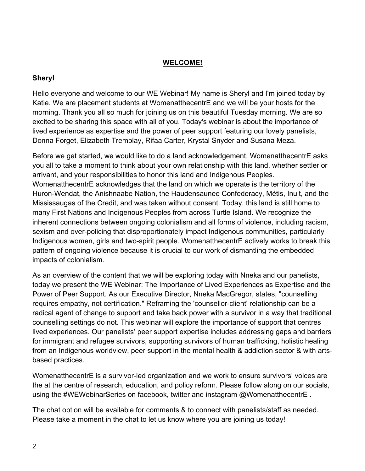### **WELCOME!**

## **Sheryl**

Hello everyone and welcome to our WE Webinar! My name is Sheryl and I'm joined today by Katie. We are placement students at WomenatthecentrE and we will be your hosts for the morning. Thank you all so much for joining us on this beautiful Tuesday morning. We are so excited to be sharing this space with all of you. Today's webinar is about the importance of lived experience as expertise and the power of peer support featuring our lovely panelists, Donna Forget, Elizabeth Tremblay, Rifaa Carter, Krystal Snyder and Susana Meza.

Before we get started, we would like to do a land acknowledgement. WomenatthecentrE asks you all to take a moment to think about your own relationship with this land, whether settler or arrivant, and your responsibilities to honor this land and Indigenous Peoples. WomenatthecentrE acknowledges that the land on which we operate is the territory of the Huron-Wendat, the Anishnaabe Nation, the Haudensaunee Confederacy, Métis, Inuit, and the Mississaugas of the Credit, and was taken without consent. Today, this land is still home to many First Nations and Indigenous Peoples from across Turtle Island. We recognize the inherent connections between ongoing colonialism and all forms of violence, including racism, sexism and over-policing that disproportionately impact Indigenous communities, particularly Indigenous women, girls and two-spirit people. WomenatthecentrE actively works to break this pattern of ongoing violence because it is crucial to our work of dismantling the embedded impacts of colonialism.

As an overview of the content that we will be exploring today with Nneka and our panelists, today we present the WE Webinar: The Importance of Lived Experiences as Expertise and the Power of Peer Support. As our Executive Director, Nneka MacGregor, states, "counselling requires empathy, not certification." Reframing the 'counsellor-client' relationship can be a radical agent of change to support and take back power with a survivor in a way that traditional counselling settings do not. This webinar will explore the importance of support that centres lived experiences. Our panelists' peer support expertise includes addressing gaps and barriers for immigrant and refugee survivors, supporting survivors of human trafficking, holistic healing from an Indigenous worldview, peer support in the mental health & addiction sector & with artsbased practices.

WomenatthecentrE is a survivor-led organization and we work to ensure survivors' voices are the at the centre of research, education, and policy reform. Please follow along on our socials, using the #WEWebinarSeries on facebook, twitter and instagram @WomenatthecentrE.

The chat option will be available for comments & to connect with panelists/staff as needed. Please take a moment in the chat to let us know where you are joining us today!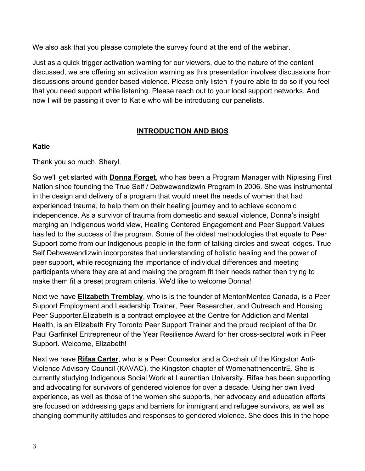We also ask that you please complete the survey found at the end of the webinar.

Just as a quick trigger activation warning for our viewers, due to the nature of the content discussed, we are offering an activation warning as this presentation involves discussions from discussions around gender based violence. Please only listen if you're able to do so if you feel that you need support while listening. Please reach out to your local support networks. And now I will be passing it over to Katie who will be introducing our panelists.

# **INTRODUCTION AND BIOS**

# **Katie**

Thank you so much, Sheryl.

So we'll get started with **Donna Forget**, who has been a Program Manager with Nipissing First Nation since founding the True Self / Debwewendizwin Program in 2006. She was instrumental in the design and delivery of a program that would meet the needs of women that had experienced trauma, to help them on their healing journey and to achieve economic independence. As a survivor of trauma from domestic and sexual violence, Donna's insight merging an Indigenous world view, Healing Centered Engagement and Peer Support Values has led to the success of the program. Some of the oldest methodologies that equate to Peer Support come from our Indigenous people in the form of talking circles and sweat lodges. True Self Debwewendizwin incorporates that understanding of holistic healing and the power of peer support, while recognizing the importance of individual differences and meeting participants where they are at and making the program fit their needs rather then trying to make them fit a preset program criteria. We'd like to welcome Donna!

Next we have **Elizabeth Tremblay**, who is is the founder of Mentor/Mentee Canada, is a Peer Support Employment and Leadership Trainer, Peer Researcher, and Outreach and Housing Peer Supporter.Elizabeth is a contract employee at the Centre for Addiction and Mental Health, is an Elizabeth Fry Toronto Peer Support Trainer and the proud recipient of the Dr. Paul Garfinkel Entrepreneur of the Year Resilience Award for her cross-sectoral work in Peer Support. Welcome, Elizabeth!

Next we have **Rifaa Carter**, who is a Peer Counselor and a Co-chair of the Kingston Anti-Violence Advisory Council (KAVAC), the Kingston chapter of WomenatthencentrE. She is currently studying Indigenous Social Work at Laurentian University. Rifaa has been supporting and advocating for survivors of gendered violence for over a decade. Using her own lived experience, as well as those of the women she supports, her advocacy and education efforts are focused on addressing gaps and barriers for immigrant and refugee survivors, as well as changing community attitudes and responses to gendered violence. She does this in the hope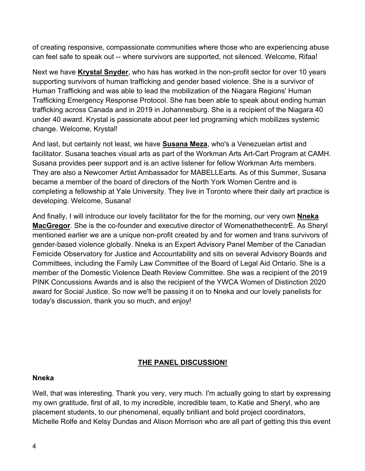of creating responsive, compassionate communities where those who are experiencing abuse can feel safe to speak out -- where survivors are supported, not silenced. Welcome, Rifaa!

Next we have **Krystal Snyder**, who has has worked in the non-profit sector for over 10 years supporting survivors of human trafficking and gender based violence. She is a survivor of Human Trafficking and was able to lead the mobilization of the Niagara Regions' Human Trafficking Emergency Response Protocol. She has been able to speak about ending human trafficking across Canada and in 2019 in Johannesburg. She is a recipient of the Niagara 40 under 40 award. Krystal is passionate about peer led programing which mobilizes systemic change. Welcome, Krystal!

And last, but certainly not least, we have **Susana Meza**, who's a Venezuelan artist and facilitator. Susana teaches visual arts as part of the Workman Arts Art-Cart Program at CAMH. Susana provides peer support and is an active listener for fellow Workman Arts members. They are also a Newcomer Artist Ambassador for MABELLEarts. As of this Summer, Susana became a member of the board of directors of the North York Women Centre and is completing a fellowship at Yale University. They live in Toronto where their daily art practice is developing. Welcome, Susana!

And finally, I will introduce our lovely facilitator for the for the morning, our very own **Nneka MacGregor**. She is the co-founder and executive director of WomenathethecentrE. As Sheryl mentioned earlier we are a unique non-profit created by and for women and trans survivors of gender-based violence globally. Nneka is an Expert Advisory Panel Member of the Canadian Femicide Observatory for Justice and Accountability and sits on several Advisory Boards and Committees, including the Family Law Committee of the Board of Legal Aid Ontario. She is a member of the Domestic Violence Death Review Committee. She was a recipient of the 2019 PINK Concussions Awards and is also the recipient of the YWCA Women of Distinction 2020 award for Social Justice. So now we'll be passing it on to Nneka and our lovely panelists for today's discussion, thank you so much, and enjoy!

### **THE PANEL DISCUSSION!**

#### **Nneka**

Well, that was interesting. Thank you very, very much. I'm actually going to start by expressing my own gratitude, first of all, to my incredible, incredible team, to Katie and Sheryl, who are placement students, to our phenomenal, equally brilliant and bold project coordinators, Michelle Rolfe and Kelsy Dundas and Alison Morrison who are all part of getting this this event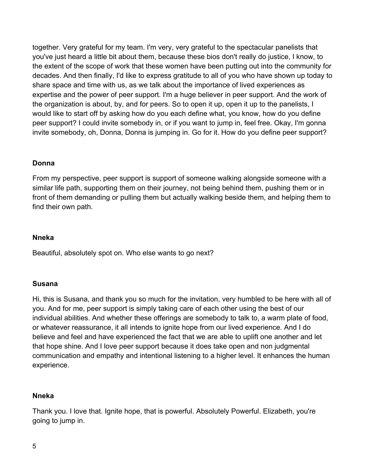together. Very grateful for my team. I'm very, very grateful to the spectacular panelists that you've just heard a little bit about them, because these bios don't really do justice, I know, to the extent of the scope of work that these women have been putting out into the community for decades. And then finally, I'd like to express gratitude to all of you who have shown up today to share space and time with us, as we talk about the importance of lived experiences as expertise and the power of peer support. I'm a huge believer in peer support. And the work of the organization is about, by, and for peers. So to open it up, open it up to the panelists, I would like to start off by asking how do you each define what, you know, how do you define peer support? I could invite somebody in, or if you want to jump in, feel free. Okay, I'm gonna invite somebody, oh, Donna, Donna is jumping in. Go for it. How do you define peer support?

### **Donna**

From my perspective, peer support is support of someone walking alongside someone with a similar life path, supporting them on their journey, not being behind them, pushing them or in front of them demanding or pulling them but actually walking beside them, and helping them to find their own path.

### **Nneka**

Beautiful, absolutely spot on. Who else wants to go next?

### **Susana**

Hi, this is Susana, and thank you so much for the invitation, very humbled to be here with all of you. And for me, peer support is simply taking care of each other using the best of our individual abilities. And whether these offerings are somebody to talk to, a warm plate of food, or whatever reassurance, it all intends to ignite hope from our lived experience. And I do believe and feel and have experienced the fact that we are able to uplift one another and let that hope shine. And I love peer support because it does take open and non judgmental communication and empathy and intentional listening to a higher level. It enhances the human experience.

### **Nneka**

Thank you. I love that. Ignite hope, that is powerful. Absolutely Powerful. Elizabeth, you're going to jump in.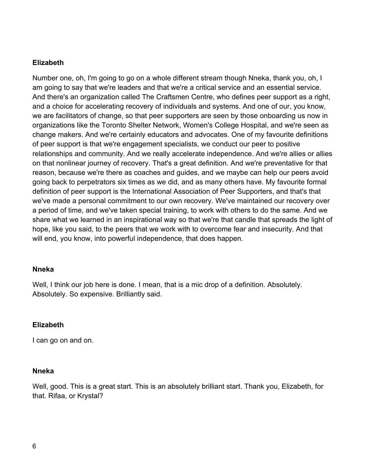### **Elizabeth**

Number one, oh, I'm going to go on a whole different stream though Nneka, thank you, oh, I am going to say that we're leaders and that we're a critical service and an essential service. And there's an organization called The Craftsmen Centre, who defines peer support as a right, and a choice for accelerating recovery of individuals and systems. And one of our, you know, we are facilitators of change, so that peer supporters are seen by those onboarding us now in organizations like the Toronto Shelter Network, Women's College Hospital, and we're seen as change makers. And we're certainly educators and advocates. One of my favourite definitions of peer support is that we're engagement specialists, we conduct our peer to positive relationships and community. And we really accelerate independence. And we're allies or allies on that nonlinear journey of recovery. That's a great definition. And we're preventative for that reason, because we're there as coaches and guides, and we maybe can help our peers avoid going back to perpetrators six times as we did, and as many others have. My favourite formal definition of peer support is the International Association of Peer Supporters, and that's that we've made a personal commitment to our own recovery. We've maintained our recovery over a period of time, and we've taken special training, to work with others to do the same. And we share what we learned in an inspirational way so that we're that candle that spreads the light of hope, like you said, to the peers that we work with to overcome fear and insecurity. And that will end, you know, into powerful independence, that does happen.

#### **Nneka**

Well, I think our job here is done. I mean, that is a mic drop of a definition. Absolutely. Absolutely. So expensive. Brilliantly said.

#### **Elizabeth**

I can go on and on.

#### **Nneka**

Well, good. This is a great start. This is an absolutely brilliant start. Thank you, Elizabeth, for that. Rifaa, or Krystal?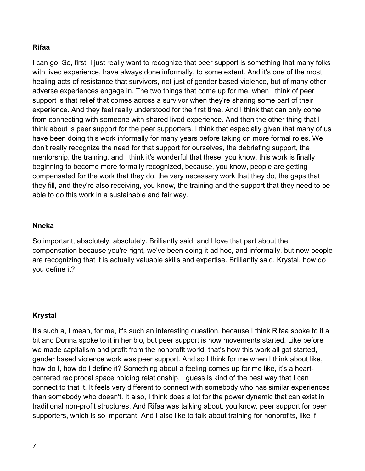### **Rifaa**

I can go. So, first, I just really want to recognize that peer support is something that many folks with lived experience, have always done informally, to some extent. And it's one of the most healing acts of resistance that survivors, not just of gender based violence, but of many other adverse experiences engage in. The two things that come up for me, when I think of peer support is that relief that comes across a survivor when they're sharing some part of their experience. And they feel really understood for the first time. And I think that can only come from connecting with someone with shared lived experience. And then the other thing that I think about is peer support for the peer supporters. I think that especially given that many of us have been doing this work informally for many years before taking on more formal roles. We don't really recognize the need for that support for ourselves, the debriefing support, the mentorship, the training, and I think it's wonderful that these, you know, this work is finally beginning to become more formally recognized, because, you know, people are getting compensated for the work that they do, the very necessary work that they do, the gaps that they fill, and they're also receiving, you know, the training and the support that they need to be able to do this work in a sustainable and fair way.

#### **Nneka**

So important, absolutely, absolutely. Brilliantly said, and I love that part about the compensation because you're right, we've been doing it ad hoc, and informally, but now people are recognizing that it is actually valuable skills and expertise. Brilliantly said. Krystal, how do you define it?

#### **Krystal**

It's such a, I mean, for me, it's such an interesting question, because I think Rifaa spoke to it a bit and Donna spoke to it in her bio, but peer support is how movements started. Like before we made capitalism and profit from the nonprofit world, that's how this work all got started, gender based violence work was peer support. And so I think for me when I think about like, how do I, how do I define it? Something about a feeling comes up for me like, it's a heartcentered reciprocal space holding relationship, I guess is kind of the best way that I can connect to that it. It feels very different to connect with somebody who has similar experiences than somebody who doesn't. It also, I think does a lot for the power dynamic that can exist in traditional non-profit structures. And Rifaa was talking about, you know, peer support for peer supporters, which is so important. And I also like to talk about training for nonprofits, like if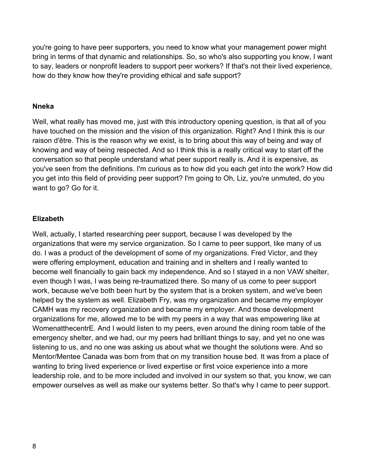you're going to have peer supporters, you need to know what your management power might bring in terms of that dynamic and relationships. So, so who's also supporting you know, I want to say, leaders or nonprofit leaders to support peer workers? If that's not their lived experience, how do they know how they're providing ethical and safe support?

#### **Nneka**

Well, what really has moved me, just with this introductory opening question, is that all of you have touched on the mission and the vision of this organization. Right? And I think this is our raison d'être. This is the reason why we exist, is to bring about this way of being and way of knowing and way of being respected. And so I think this is a really critical way to start off the conversation so that people understand what peer support really is. And it is expensive, as you've seen from the definitions. I'm curious as to how did you each get into the work? How did you get into this field of providing peer support? I'm going to Oh, Liz, you're unmuted, do you want to go? Go for it.

### **Elizabeth**

Well, actually, I started researching peer support, because I was developed by the organizations that were my service organization. So I came to peer support, like many of us do. I was a product of the development of some of my organizations. Fred Victor, and they were offering employment, education and training and in shelters and I really wanted to become well financially to gain back my independence. And so I stayed in a non VAW shelter, even though I was, I was being re-traumatized there. So many of us come to peer support work, because we've both been hurt by the system that is a broken system, and we've been helped by the system as well. Elizabeth Fry, was my organization and became my employer CAMH was my recovery organization and became my employer. And those development organizations for me, allowed me to be with my peers in a way that was empowering like at WomenatthecentrE. And I would listen to my peers, even around the dining room table of the emergency shelter, and we had, our my peers had brilliant things to say, and yet no one was listening to us, and no one was asking us about what we thought the solutions were. And so Mentor/Mentee Canada was born from that on my transition house bed. It was from a place of wanting to bring lived experience or lived expertise or first voice experience into a more leadership role, and to be more included and involved in our system so that, you know, we can empower ourselves as well as make our systems better. So that's why I came to peer support.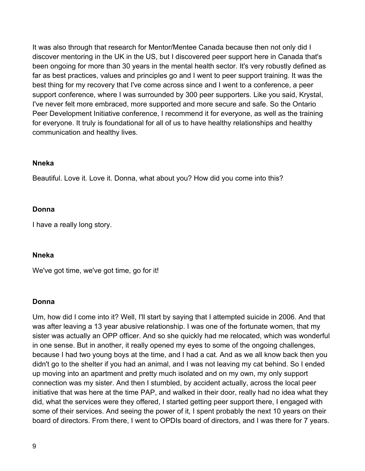It was also through that research for Mentor/Mentee Canada because then not only did I discover mentoring in the UK in the US, but I discovered peer support here in Canada that's been ongoing for more than 30 years in the mental health sector. It's very robustly defined as far as best practices, values and principles go and I went to peer support training. It was the best thing for my recovery that I've come across since and I went to a conference, a peer support conference, where I was surrounded by 300 peer supporters. Like you said, Krystal, I've never felt more embraced, more supported and more secure and safe. So the Ontario Peer Development Initiative conference, I recommend it for everyone, as well as the training for everyone. It truly is foundational for all of us to have healthy relationships and healthy communication and healthy lives.

#### **Nneka**

Beautiful. Love it. Love it. Donna, what about you? How did you come into this?

#### **Donna**

I have a really long story.

#### **Nneka**

We've got time, we've got time, go for it!

#### **Donna**

Um, how did I come into it? Well, I'll start by saying that I attempted suicide in 2006. And that was after leaving a 13 year abusive relationship. I was one of the fortunate women, that my sister was actually an OPP officer. And so she quickly had me relocated, which was wonderful in one sense. But in another, it really opened my eyes to some of the ongoing challenges, because I had two young boys at the time, and I had a cat. And as we all know back then you didn't go to the shelter if you had an animal, and I was not leaving my cat behind. So I ended up moving into an apartment and pretty much isolated and on my own, my only support connection was my sister. And then I stumbled, by accident actually, across the local peer initiative that was here at the time PAP, and walked in their door, really had no idea what they did, what the services were they offered, I started getting peer support there, I engaged with some of their services. And seeing the power of it, I spent probably the next 10 years on their board of directors. From there, I went to OPDIs board of directors, and I was there for 7 years.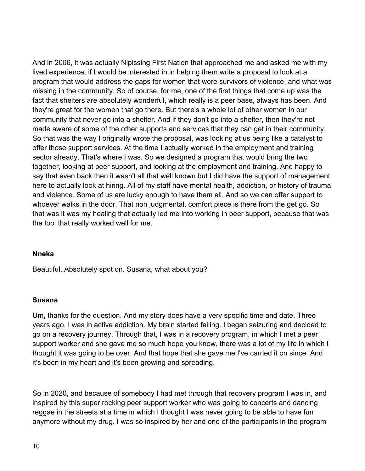And in 2006, it was actually Nipissing First Nation that approached me and asked me with my lived experience, if I would be interested in in helping them write a proposal to look at a program that would address the gaps for women that were survivors of violence, and what was missing in the community. So of course, for me, one of the first things that come up was the fact that shelters are absolutely wonderful, which really is a peer base, always has been. And they're great for the women that go there. But there's a whole lot of other women in our community that never go into a shelter. And if they don't go into a shelter, then they're not made aware of some of the other supports and services that they can get in their community. So that was the way I originally wrote the proposal, was looking at us being like a catalyst to offer those support services. At the time I actually worked in the employment and training sector already. That's where I was. So we designed a program that would bring the two together, looking at peer support, and looking at the employment and training. And happy to say that even back then it wasn't all that well known but I did have the support of management here to actually look at hiring. All of my staff have mental health, addiction, or history of trauma and violence. Some of us are lucky enough to have them all. And so we can offer support to whoever walks in the door. That non judgmental, comfort piece is there from the get go. So that was it was my healing that actually led me into working in peer support, because that was the tool that really worked well for me.

#### **Nneka**

Beautiful. Absolutely spot on. Susana, what about you?

#### **Susana**

Um, thanks for the question. And my story does have a very specific time and date. Three years ago, I was in active addiction. My brain started failing. I began seizuring and decided to go on a recovery journey. Through that, I was in a recovery program, in which I met a peer support worker and she gave me so much hope you know, there was a lot of my life in which I thought it was going to be over. And that hope that she gave me I've carried it on since. And it's been in my heart and it's been growing and spreading.

So in 2020, and because of somebody I had met through that recovery program I was in, and inspired by this super rocking peer support worker who was going to concerts and dancing reggae in the streets at a time in which I thought I was never going to be able to have fun anymore without my drug. I was so inspired by her and one of the participants in the program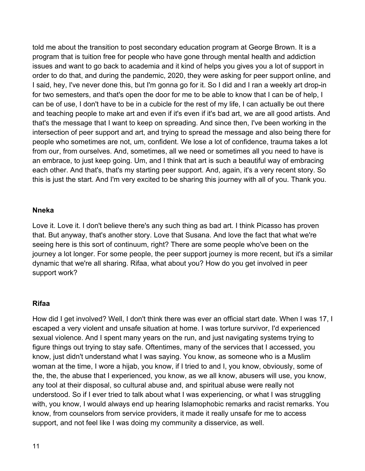told me about the transition to post secondary education program at George Brown. It is a program that is tuition free for people who have gone through mental health and addiction issues and want to go back to academia and it kind of helps you gives you a lot of support in order to do that, and during the pandemic, 2020, they were asking for peer support online, and I said, hey, I've never done this, but I'm gonna go for it. So I did and I ran a weekly art drop-in for two semesters, and that's open the door for me to be able to know that I can be of help, I can be of use, I don't have to be in a cubicle for the rest of my life, I can actually be out there and teaching people to make art and even if it's even if it's bad art, we are all good artists. And that's the message that I want to keep on spreading. And since then, I've been working in the intersection of peer support and art, and trying to spread the message and also being there for people who sometimes are not, um, confident. We lose a lot of confidence, trauma takes a lot from our, from ourselves. And, sometimes, all we need or sometimes all you need to have is an embrace, to just keep going. Um, and I think that art is such a beautiful way of embracing each other. And that's, that's my starting peer support. And, again, it's a very recent story. So this is just the start. And I'm very excited to be sharing this journey with all of you. Thank you.

#### **Nneka**

Love it. Love it. I don't believe there's any such thing as bad art. I think Picasso has proven that. But anyway, that's another story. Love that Susana. And love the fact that what we're seeing here is this sort of continuum, right? There are some people who've been on the journey a lot longer. For some people, the peer support journey is more recent, but it's a similar dynamic that we're all sharing. Rifaa, what about you? How do you get involved in peer support work?

#### **Rifaa**

How did I get involved? Well, I don't think there was ever an official start date. When I was 17, I escaped a very violent and unsafe situation at home. I was torture survivor, I'd experienced sexual violence. And I spent many years on the run, and just navigating systems trying to figure things out trying to stay safe. Oftentimes, many of the services that I accessed, you know, just didn't understand what I was saying. You know, as someone who is a Muslim woman at the time, I wore a hijab, you know, if I tried to and I, you know, obviously, some of the, the, the abuse that I experienced, you know, as we all know, abusers will use, you know, any tool at their disposal, so cultural abuse and, and spiritual abuse were really not understood. So if I ever tried to talk about what I was experiencing, or what I was struggling with, you know, I would always end up hearing Islamophobic remarks and racist remarks. You know, from counselors from service providers, it made it really unsafe for me to access support, and not feel like I was doing my community a disservice, as well.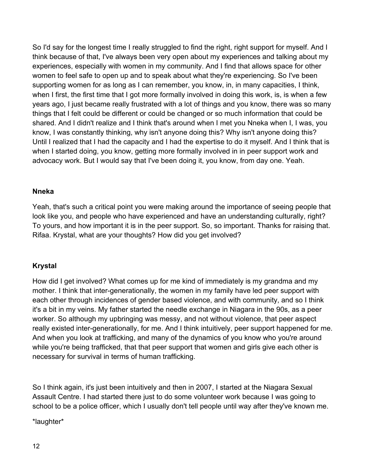So I'd say for the longest time I really struggled to find the right, right support for myself. And I think because of that, I've always been very open about my experiences and talking about my experiences, especially with women in my community. And I find that allows space for other women to feel safe to open up and to speak about what they're experiencing. So I've been supporting women for as long as I can remember, you know, in, in many capacities, I think, when I first, the first time that I got more formally involved in doing this work, is, is when a few years ago, I just became really frustrated with a lot of things and you know, there was so many things that I felt could be different or could be changed or so much information that could be shared. And I didn't realize and I think that's around when I met you Nneka when I, I was, you know, I was constantly thinking, why isn't anyone doing this? Why isn't anyone doing this? Until I realized that I had the capacity and I had the expertise to do it myself. And I think that is when I started doing, you know, getting more formally involved in in peer support work and advocacy work. But I would say that I've been doing it, you know, from day one. Yeah.

### **Nneka**

Yeah, that's such a critical point you were making around the importance of seeing people that look like you, and people who have experienced and have an understanding culturally, right? To yours, and how important it is in the peer support. So, so important. Thanks for raising that. Rifaa. Krystal, what are your thoughts? How did you get involved?

### **Krystal**

How did I get involved? What comes up for me kind of immediately is my grandma and my mother. I think that inter-generationally, the women in my family have led peer support with each other through incidences of gender based violence, and with community, and so I think it's a bit in my veins. My father started the needle exchange in Niagara in the 90s, as a peer worker. So although my upbringing was messy, and not without violence, that peer aspect really existed inter-generationally, for me. And I think intuitively, peer support happened for me. And when you look at trafficking, and many of the dynamics of you know who you're around while you're being trafficked, that that peer support that women and girls give each other is necessary for survival in terms of human trafficking.

So I think again, it's just been intuitively and then in 2007, I started at the Niagara Sexual Assault Centre. I had started there just to do some volunteer work because I was going to school to be a police officer, which I usually don't tell people until way after they've known me.

\*laughter\*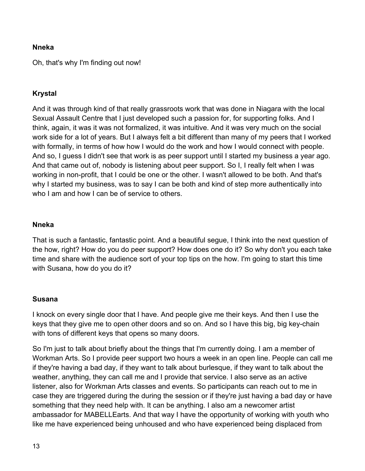### **Nneka**

Oh, that's why I'm finding out now!

### **Krystal**

And it was through kind of that really grassroots work that was done in Niagara with the local Sexual Assault Centre that I just developed such a passion for, for supporting folks. And I think, again, it was it was not formalized, it was intuitive. And it was very much on the social work side for a lot of years. But I always felt a bit different than many of my peers that I worked with formally, in terms of how how I would do the work and how I would connect with people. And so, I guess I didn't see that work is as peer support until I started my business a year ago. And that came out of, nobody is listening about peer support. So I, I really felt when I was working in non-profit, that I could be one or the other. I wasn't allowed to be both. And that's why I started my business, was to say I can be both and kind of step more authentically into who I am and how I can be of service to others.

#### **Nneka**

That is such a fantastic, fantastic point. And a beautiful segue, I think into the next question of the how, right? How do you do peer support? How does one do it? So why don't you each take time and share with the audience sort of your top tips on the how. I'm going to start this time with Susana, how do you do it?

#### **Susana**

I knock on every single door that I have. And people give me their keys. And then I use the keys that they give me to open other doors and so on. And so I have this big, big key-chain with tons of different keys that opens so many doors.

So I'm just to talk about briefly about the things that I'm currently doing. I am a member of Workman Arts. So I provide peer support two hours a week in an open line. People can call me if they're having a bad day, if they want to talk about burlesque, if they want to talk about the weather, anything, they can call me and I provide that service. I also serve as an active listener, also for Workman Arts classes and events. So participants can reach out to me in case they are triggered during the during the session or if they're just having a bad day or have something that they need help with. It can be anything. I also am a newcomer artist ambassador for MABELLEarts. And that way I have the opportunity of working with youth who like me have experienced being unhoused and who have experienced being displaced from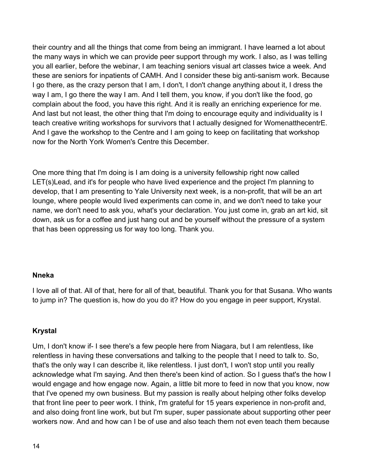their country and all the things that come from being an immigrant. I have learned a lot about the many ways in which we can provide peer support through my work. I also, as I was telling you all earlier, before the webinar, I am teaching seniors visual art classes twice a week. And these are seniors for inpatients of CAMH. And I consider these big anti-sanism work. Because I go there, as the crazy person that I am, I don't, I don't change anything about it, I dress the way I am, I go there the way I am. And I tell them, you know, if you don't like the food, go complain about the food, you have this right. And it is really an enriching experience for me. And last but not least, the other thing that I'm doing to encourage equity and individuality is I teach creative writing workshops for survivors that I actually designed for WomenatthecentrE. And I gave the workshop to the Centre and I am going to keep on facilitating that workshop now for the North York Women's Centre this December.

One more thing that I'm doing is I am doing is a university fellowship right now called LET(s)Lead, and it's for people who have lived experience and the project I'm planning to develop, that I am presenting to Yale University next week, is a non-profit, that will be an art lounge, where people would lived experiments can come in, and we don't need to take your name, we don't need to ask you, what's your declaration. You just come in, grab an art kid, sit down, ask us for a coffee and just hang out and be yourself without the pressure of a system that has been oppressing us for way too long. Thank you.

#### **Nneka**

I love all of that. All of that, here for all of that, beautiful. Thank you for that Susana. Who wants to jump in? The question is, how do you do it? How do you engage in peer support, Krystal.

### **Krystal**

Um, I don't know if- I see there's a few people here from Niagara, but I am relentless, like relentless in having these conversations and talking to the people that I need to talk to. So, that's the only way I can describe it, like relentless. I just don't, I won't stop until you really acknowledge what I'm saying. And then there's been kind of action. So I guess that's the how I would engage and how engage now. Again, a little bit more to feed in now that you know, now that I've opened my own business. But my passion is really about helping other folks develop that front line peer to peer work. I think, I'm grateful for 15 years experience in non-profit and, and also doing front line work, but but I'm super, super passionate about supporting other peer workers now. And and how can I be of use and also teach them not even teach them because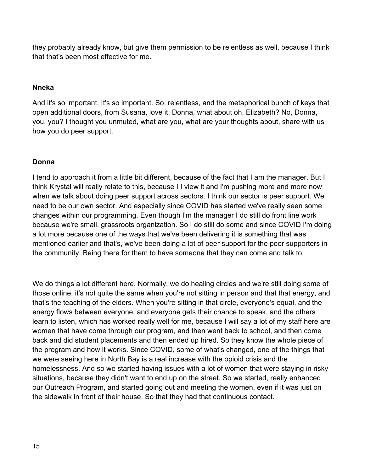they probably already know, but give them permission to be relentless as well, because I think that that's been most effective for me.

### **Nneka**

And it's so important. It's so important. So, relentless, and the metaphorical bunch of keys that open additional doors, from Susana, love it. Donna, what about oh, Elizabeth? No, Donna, you, you? I thought you unmuted, what are you, what are your thoughts about, share with us how you do peer support.

### **Donna**

I tend to approach it from a little bit different, because of the fact that I am the manager. But I think Krystal will really relate to this, because I I view it and I'm pushing more and more now when we talk about doing peer support across sectors. I think our sector is peer support. We need to be our own sector. And especially since COVID has started we've really seen some changes within our programming. Even though I'm the manager I do still do front line work because we're small, grassroots organization. So I do still do some and since COVID I'm doing a lot more because one of the ways that we've been delivering it is something that was mentioned earlier and that's, we've been doing a lot of peer support for the peer supporters in the community. Being there for them to have someone that they can come and talk to.

We do things a lot different here. Normally, we do healing circles and we're still doing some of those online, it's not quite the same when you're not sitting in person and that that energy, and that's the teaching of the elders. When you're sitting in that circle, everyone's equal, and the energy flows between everyone, and everyone gets their chance to speak, and the others learn to listen, which has worked really well for me, because I will say a lot of my staff here are women that have come through our program, and then went back to school, and then come back and did student placements and then ended up hired. So they know the whole piece of the program and how it works. Since COVID, some of what's changed, one of the things that we were seeing here in North Bay is a real increase with the opioid crisis and the homelessness. And so we started having issues with a lot of women that were staying in risky situations, because they didn't want to end up on the street. So we started, really enhanced our Outreach Program, and started going out and meeting the women, even if it was just on the sidewalk in front of their house. So that they had that continuous contact.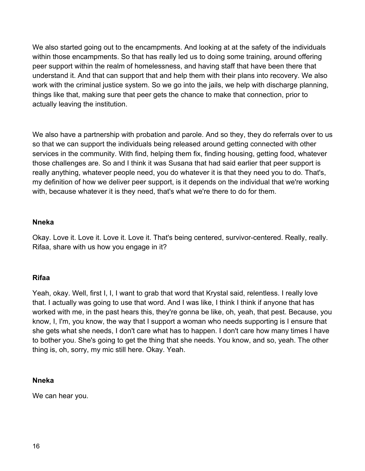We also started going out to the encampments. And looking at at the safety of the individuals within those encampments. So that has really led us to doing some training, around offering peer support within the realm of homelessness, and having staff that have been there that understand it. And that can support that and help them with their plans into recovery. We also work with the criminal justice system. So we go into the jails, we help with discharge planning, things like that, making sure that peer gets the chance to make that connection, prior to actually leaving the institution.

We also have a partnership with probation and parole. And so they, they do referrals over to us so that we can support the individuals being released around getting connected with other services in the community. With find, helping them fix, finding housing, getting food, whatever those challenges are. So and I think it was Susana that had said earlier that peer support is really anything, whatever people need, you do whatever it is that they need you to do. That's, my definition of how we deliver peer support, is it depends on the individual that we're working with, because whatever it is they need, that's what we're there to do for them.

### **Nneka**

Okay. Love it. Love it. Love it. Love it. That's being centered, survivor-centered. Really, really. Rifaa, share with us how you engage in it?

### **Rifaa**

Yeah, okay. Well, first I, I, I want to grab that word that Krystal said, relentless. I really love that. I actually was going to use that word. And I was like, I think I think if anyone that has worked with me, in the past hears this, they're gonna be like, oh, yeah, that pest. Because, you know, I, I'm, you know, the way that I support a woman who needs supporting is I ensure that she gets what she needs, I don't care what has to happen. I don't care how many times I have to bother you. She's going to get the thing that she needs. You know, and so, yeah. The other thing is, oh, sorry, my mic still here. Okay. Yeah.

# **Nneka**

We can hear you.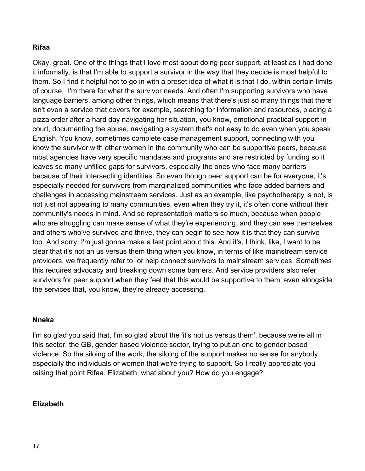## **Rifaa**

Okay, great. One of the things that I love most about doing peer support, at least as I had done it informally, is that I'm able to support a survivor in the way that they decide is most helpful to them. So I find it helpful not to go in with a preset idea of what it is that I do, within certain limits of course. I'm there for what the survivor needs. And often I'm supporting survivors who have language barriers, among other things, which means that there's just so many things that there isn't even a service that covers for example, searching for information and resources, placing a pizza order after a hard day navigating her situation, you know, emotional practical support in court, documenting the abuse, navigating a system that's not easy to do even when you speak English. You know, sometimes complete case management support, connecting with you know the survivor with other women in the community who can be supportive peers, because most agencies have very specific mandates and programs and are restricted by funding so it leaves so many unfilled gaps for survivors, especially the ones who face many barriers because of their intersecting identities. So even though peer support can be for everyone, it's especially needed for survivors from marginalized communities who face added barriers and challenges in accessing mainstream services. Just as an example, like psychotherapy is not, is not just not appealing to many communities, even when they try it, it's often done without their community's needs in mind. And so representation matters so much, because when people who are struggling can make sense of what they're experiencing, and they can see themselves and others who've survived and thrive, they can begin to see how it is that they can survive too. And sorry, I'm just gonna make a last point about this. And it's, I think, like, I want to be clear that it's not an us versus them thing when you know, in terms of like mainstream service providers, we frequently refer to, or help connect survivors to mainstream services. Sometimes this requires advocacy and breaking down some barriers. And service providers also refer survivors for peer support when they feel that this would be supportive to them, even alongside the services that, you know, they're already accessing.

#### **Nneka**

I'm so glad you said that, I'm so glad about the 'it's not us versus them', because we're all in this sector, the GB, gender based violence sector, trying to put an end to gender based violence. So the siloing of the work, the siloing of the support makes no sense for anybody, especially the individuals or women that we're trying to support. So I really appreciate you raising that point Rifaa. Elizabeth, what about you? How do you engage?

### **Elizabeth**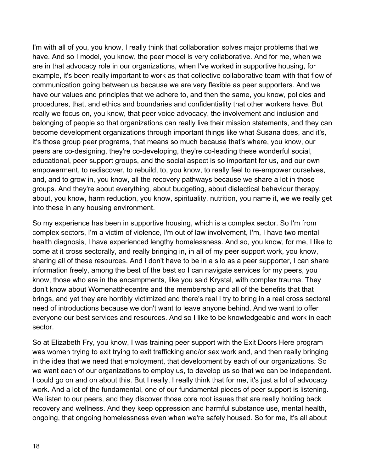I'm with all of you, you know, I really think that collaboration solves major problems that we have. And so I model, you know, the peer model is very collaborative. And for me, when we are in that advocacy role in our organizations, when I've worked in supportive housing, for example, it's been really important to work as that collective collaborative team with that flow of communication going between us because we are very flexible as peer supporters. And we have our values and principles that we adhere to, and then the same, you know, policies and procedures, that, and ethics and boundaries and confidentiality that other workers have. But really we focus on, you know, that peer voice advocacy, the involvement and inclusion and belonging of people so that organizations can really live their mission statements, and they can become development organizations through important things like what Susana does, and it's, it's those group peer programs, that means so much because that's where, you know, our peers are co-designing, they're co-developing, they're co-leading these wonderful social, educational, peer support groups, and the social aspect is so important for us, and our own empowerment, to rediscover, to rebuild, to, you know, to really feel to re-empower ourselves, and, and to grow in, you know, all the recovery pathways because we share a lot in those groups. And they're about everything, about budgeting, about dialectical behaviour therapy, about, you know, harm reduction, you know, spirituality, nutrition, you name it, we we really get into these in any housing environment.

So my experience has been in supportive housing, which is a complex sector. So I'm from complex sectors, I'm a victim of violence, I'm out of law involvement, I'm, I have two mental health diagnosis, I have experienced lengthy homelessness. And so, you know, for me, I like to come at it cross sectorally, and really bringing in, in all of my peer support work, you know, sharing all of these resources. And I don't have to be in a silo as a peer supporter, I can share information freely, among the best of the best so I can navigate services for my peers, you know, those who are in the encampments, like you said Krystal, with complex trauma. They don't know about Womenatthecentre and the membership and all of the benefits that that brings, and yet they are horribly victimized and there's real I try to bring in a real cross sectoral need of introductions because we don't want to leave anyone behind. And we want to offer everyone our best services and resources. And so I like to be knowledgeable and work in each sector.

So at Elizabeth Fry, you know, I was training peer support with the Exit Doors Here program was women trying to exit trying to exit trafficking and/or sex work and, and then really bringing in the idea that we need that employment, that development by each of our organizations. So we want each of our organizations to employ us, to develop us so that we can be independent. I could go on and on about this. But I really, I really think that for me, it's just a lot of advocacy work. And a lot of the fundamental, one of our fundamental pieces of peer support is listening. We listen to our peers, and they discover those core root issues that are really holding back recovery and wellness. And they keep oppression and harmful substance use, mental health, ongoing, that ongoing homelessness even when we're safely housed. So for me, it's all about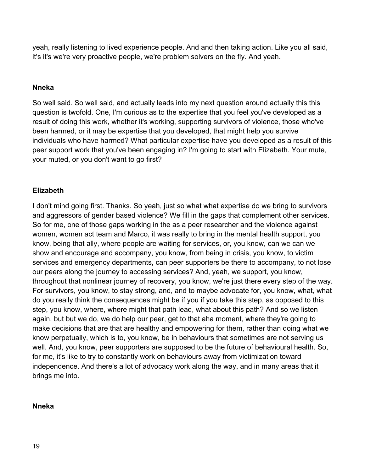yeah, really listening to lived experience people. And and then taking action. Like you all said, it's it's we're very proactive people, we're problem solvers on the fly. And yeah.

### **Nneka**

So well said. So well said, and actually leads into my next question around actually this this question is twofold. One, I'm curious as to the expertise that you feel you've developed as a result of doing this work, whether it's working, supporting survivors of violence, those who've been harmed, or it may be expertise that you developed, that might help you survive individuals who have harmed? What particular expertise have you developed as a result of this peer support work that you've been engaging in? I'm going to start with Elizabeth. Your mute, your muted, or you don't want to go first?

### **Elizabeth**

I don't mind going first. Thanks. So yeah, just so what what expertise do we bring to survivors and aggressors of gender based violence? We fill in the gaps that complement other services. So for me, one of those gaps working in the as a peer researcher and the violence against women, women act team and Marco, it was really to bring in the mental health support, you know, being that ally, where people are waiting for services, or, you know, can we can we show and encourage and accompany, you know, from being in crisis, you know, to victim services and emergency departments, can peer supporters be there to accompany, to not lose our peers along the journey to accessing services? And, yeah, we support, you know, throughout that nonlinear journey of recovery, you know, we're just there every step of the way. For survivors, you know, to stay strong, and, and to maybe advocate for, you know, what, what do you really think the consequences might be if you if you take this step, as opposed to this step, you know, where, where might that path lead, what about this path? And so we listen again, but but we do, we do help our peer, get to that aha moment, where they're going to make decisions that are that are healthy and empowering for them, rather than doing what we know perpetually, which is to, you know, be in behaviours that sometimes are not serving us well. And, you know, peer supporters are supposed to be the future of behavioural health. So, for me, it's like to try to constantly work on behaviours away from victimization toward independence. And there's a lot of advocacy work along the way, and in many areas that it brings me into.

#### **Nneka**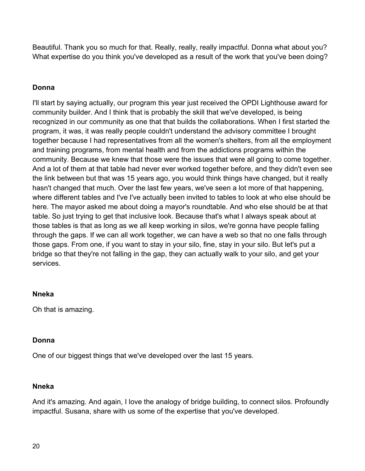Beautiful. Thank you so much for that. Really, really, really impactful. Donna what about you? What expertise do you think you've developed as a result of the work that you've been doing?

# **Donna**

I'll start by saying actually, our program this year just received the OPDI Lighthouse award for community builder. And I think that is probably the skill that we've developed, is being recognized in our community as one that that builds the collaborations. When I first started the program, it was, it was really people couldn't understand the advisory committee I brought together because I had representatives from all the women's shelters, from all the employment and training programs, from mental health and from the addictions programs within the community. Because we knew that those were the issues that were all going to come together. And a lot of them at that table had never ever worked together before, and they didn't even see the link between but that was 15 years ago, you would think things have changed, but it really hasn't changed that much. Over the last few years, we've seen a lot more of that happening, where different tables and I've I've actually been invited to tables to look at who else should be here. The mayor asked me about doing a mayor's roundtable. And who else should be at that table. So just trying to get that inclusive look. Because that's what I always speak about at those tables is that as long as we all keep working in silos, we're gonna have people falling through the gaps. If we can all work together, we can have a web so that no one falls through those gaps. From one, if you want to stay in your silo, fine, stay in your silo. But let's put a bridge so that they're not falling in the gap, they can actually walk to your silo, and get your services.

### **Nneka**

Oh that is amazing.

### **Donna**

One of our biggest things that we've developed over the last 15 years.

### **Nneka**

And it's amazing. And again, I love the analogy of bridge building, to connect silos. Profoundly impactful. Susana, share with us some of the expertise that you've developed.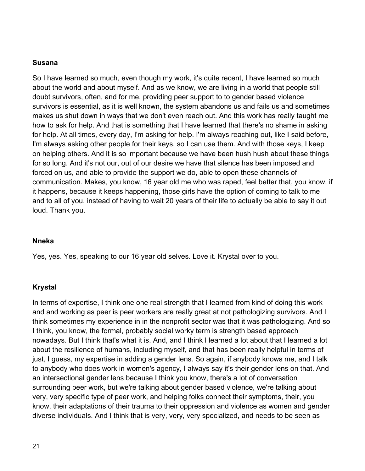#### **Susana**

So I have learned so much, even though my work, it's quite recent, I have learned so much about the world and about myself. And as we know, we are living in a world that people still doubt survivors, often, and for me, providing peer support to to gender based violence survivors is essential, as it is well known, the system abandons us and fails us and sometimes makes us shut down in ways that we don't even reach out. And this work has really taught me how to ask for help. And that is something that I have learned that there's no shame in asking for help. At all times, every day, I'm asking for help. I'm always reaching out, like I said before, I'm always asking other people for their keys, so I can use them. And with those keys, I keep on helping others. And it is so important because we have been hush hush about these things for so long. And it's not our, out of our desire we have that silence has been imposed and forced on us, and able to provide the support we do, able to open these channels of communication. Makes, you know, 16 year old me who was raped, feel better that, you know, if it happens, because it keeps happening, those girls have the option of coming to talk to me and to all of you, instead of having to wait 20 years of their life to actually be able to say it out loud. Thank you.

#### **Nneka**

Yes, yes. Yes, speaking to our 16 year old selves. Love it. Krystal over to you.

#### **Krystal**

In terms of expertise, I think one one real strength that I learned from kind of doing this work and and working as peer is peer workers are really great at not pathologizing survivors. And I think sometimes my experience in in the nonprofit sector was that it was pathologizing. And so I think, you know, the formal, probably social worky term is strength based approach nowadays. But I think that's what it is. And, and I think I learned a lot about that I learned a lot about the resilience of humans, including myself, and that has been really helpful in terms of just, I guess, my expertise in adding a gender lens. So again, if anybody knows me, and I talk to anybody who does work in women's agency, I always say it's their gender lens on that. And an intersectional gender lens because I think you know, there's a lot of conversation surrounding peer work, but we're talking about gender based violence, we're talking about very, very specific type of peer work, and helping folks connect their symptoms, their, you know, their adaptations of their trauma to their oppression and violence as women and gender diverse individuals. And I think that is very, very, very specialized, and needs to be seen as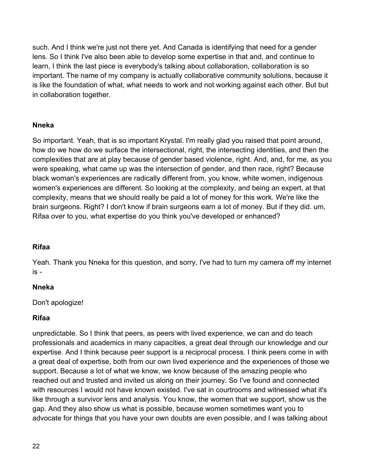such. And I think we're just not there yet. And Canada is identifying that need for a gender lens. So I think I've also been able to develop some expertise in that and, and continue to learn, I think the last piece is everybody's talking about collaboration, collaboration is so important. The name of my company is actually collaborative community solutions, because it is like the foundation of what, what needs to work and not working against each other. But but in collaboration together.

### **Nneka**

So important. Yeah, that is so important Krystal. I'm really glad you raised that point around, how do we how do we surface the intersectional, right, the intersecting identities, and then the complexities that are at play because of gender based violence, right. And, and, for me, as you were speaking, what came up was the intersection of gender, and then race, right? Because black woman's experiences are radically different from, you know, white women, indigenous women's experiences are different. So looking at the complexity, and being an expert, at that complexity, means that we should really be paid a lot of money for this work. We're like the brain surgeons. Right? I don't know if brain surgeons earn a lot of money. But if they did. um, Rifaa over to you, what expertise do you think you've developed or enhanced?

# **Rifaa**

Yeah. Thank you Nneka for this question, and sorry, I've had to turn my camera off my internet is -

### **Nneka**

Don't apologize!

### **Rifaa**

unpredictable. So I think that peers, as peers with lived experience, we can and do teach professionals and academics in many capacities, a great deal through our knowledge and our expertise. And I think because peer support is a reciprocal process. I think peers come in with a great deal of expertise, both from our own lived experience and the experiences of those we support. Because a lot of what we know, we know because of the amazing people who reached out and trusted and invited us along on their journey. So I've found and connected with resources I would not have known existed. I've sat in courtrooms and witnessed what it's like through a survivor lens and analysis. You know, the women that we support, show us the gap. And they also show us what is possible, because women sometimes want you to advocate for things that you have your own doubts are even possible, and I was talking about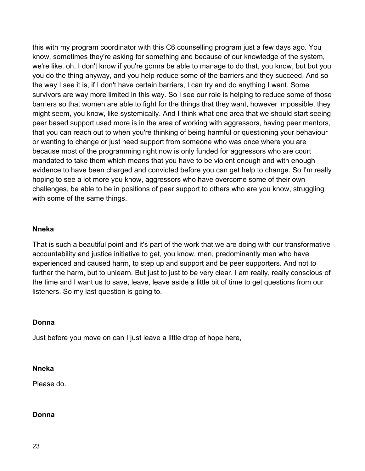this with my program coordinator with this C6 counselling program just a few days ago. You know, sometimes they're asking for something and because of our knowledge of the system, we're like, oh, I don't know if you're gonna be able to manage to do that, you know, but but you you do the thing anyway, and you help reduce some of the barriers and they succeed. And so the way I see it is, if I don't have certain barriers, I can try and do anything I want. Some survivors are way more limited in this way. So I see our role is helping to reduce some of those barriers so that women are able to fight for the things that they want, however impossible, they might seem, you know, like systemically. And I think what one area that we should start seeing peer based support used more is in the area of working with aggressors, having peer mentors, that you can reach out to when you're thinking of being harmful or questioning your behaviour or wanting to change or just need support from someone who was once where you are because most of the programming right now is only funded for aggressors who are court mandated to take them which means that you have to be violent enough and with enough evidence to have been charged and convicted before you can get help to change. So I'm really hoping to see a lot more you know, aggressors who have overcome some of their own challenges, be able to be in positions of peer support to others who are you know, struggling with some of the same things.

#### **Nneka**

That is such a beautiful point and it's part of the work that we are doing with our transformative accountability and justice initiative to get, you know, men, predominantly men who have experienced and caused harm, to step up and support and be peer supporters. And not to further the harm, but to unlearn. But just to just to be very clear. I am really, really conscious of the time and I want us to save, leave, leave aside a little bit of time to get questions from our listeners. So my last question is going to.

#### **Donna**

Just before you move on can I just leave a little drop of hope here,

#### **Nneka**

Please do.

#### **Donna**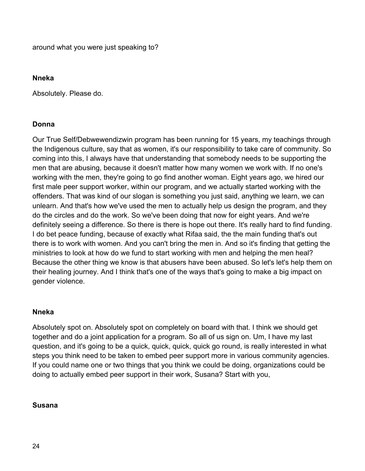around what you were just speaking to?

## **Nneka**

Absolutely. Please do.

# **Donna**

Our True Self/Debwewendizwin program has been running for 15 years, my teachings through the Indigenous culture, say that as women, it's our responsibility to take care of community. So coming into this, I always have that understanding that somebody needs to be supporting the men that are abusing, because it doesn't matter how many women we work with. If no one's working with the men, they're going to go find another woman. Eight years ago, we hired our first male peer support worker, within our program, and we actually started working with the offenders. That was kind of our slogan is something you just said, anything we learn, we can unlearn. And that's how we've used the men to actually help us design the program, and they do the circles and do the work. So we've been doing that now for eight years. And we're definitely seeing a difference. So there is there is hope out there. It's really hard to find funding. I do bet peace funding, because of exactly what Rifaa said, the the main funding that's out there is to work with women. And you can't bring the men in. And so it's finding that getting the ministries to look at how do we fund to start working with men and helping the men heal? Because the other thing we know is that abusers have been abused. So let's let's help them on their healing journey. And I think that's one of the ways that's going to make a big impact on gender violence.

# **Nneka**

Absolutely spot on. Absolutely spot on completely on board with that. I think we should get together and do a joint application for a program. So all of us sign on. Um, I have my last question, and it's going to be a quick, quick, quick, quick go round, is really interested in what steps you think need to be taken to embed peer support more in various community agencies. If you could name one or two things that you think we could be doing, organizations could be doing to actually embed peer support in their work, Susana? Start with you,

# **Susana**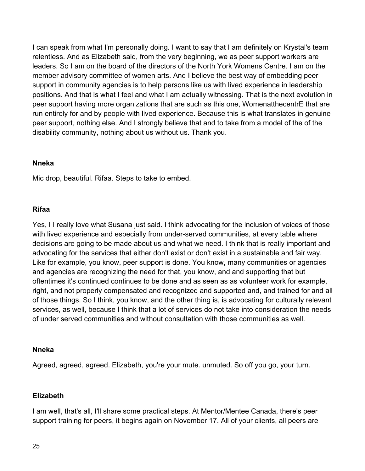I can speak from what I'm personally doing. I want to say that I am definitely on Krystal's team relentless. And as Elizabeth said, from the very beginning, we as peer support workers are leaders. So I am on the board of the directors of the North York Womens Centre. I am on the member advisory committee of women arts. And I believe the best way of embedding peer support in community agencies is to help persons like us with lived experience in leadership positions. And that is what I feel and what I am actually witnessing. That is the next evolution in peer support having more organizations that are such as this one, WomenatthecentrE that are run entirely for and by people with lived experience. Because this is what translates in genuine peer support, nothing else. And I strongly believe that and to take from a model of the of the disability community, nothing about us without us. Thank you.

#### **Nneka**

Mic drop, beautiful. Rifaa. Steps to take to embed.

### **Rifaa**

Yes, I I really love what Susana just said. I think advocating for the inclusion of voices of those with lived experience and especially from under-served communities, at every table where decisions are going to be made about us and what we need. I think that is really important and advocating for the services that either don't exist or don't exist in a sustainable and fair way. Like for example, you know, peer support is done. You know, many communities or agencies and agencies are recognizing the need for that, you know, and and supporting that but oftentimes it's continued continues to be done and as seen as as volunteer work for example, right, and not properly compensated and recognized and supported and, and trained for and all of those things. So I think, you know, and the other thing is, is advocating for culturally relevant services, as well, because I think that a lot of services do not take into consideration the needs of under served communities and without consultation with those communities as well.

#### **Nneka**

Agreed, agreed, agreed. Elizabeth, you're your mute. unmuted. So off you go, your turn.

### **Elizabeth**

I am well, that's all, I'll share some practical steps. At Mentor/Mentee Canada, there's peer support training for peers, it begins again on November 17. All of your clients, all peers are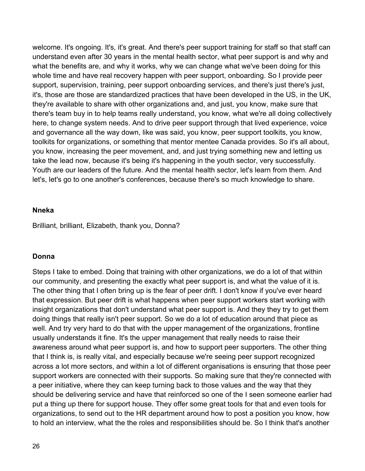welcome. It's ongoing. It's, it's great. And there's peer support training for staff so that staff can understand even after 30 years in the mental health sector, what peer support is and why and what the benefits are, and why it works, why we can change what we've been doing for this whole time and have real recovery happen with peer support, onboarding. So I provide peer support, supervision, training, peer support onboarding services, and there's just there's just, it's, those are those are standardized practices that have been developed in the US, in the UK, they're available to share with other organizations and, and just, you know, make sure that there's team buy in to help teams really understand, you know, what we're all doing collectively here, to change system needs. And to drive peer support through that lived experience, voice and governance all the way down, like was said, you know, peer support toolkits, you know, toolkits for organizations, or something that mentor mentee Canada provides. So it's all about, you know, increasing the peer movement, and, and just trying something new and letting us take the lead now, because it's being it's happening in the youth sector, very successfully. Youth are our leaders of the future. And the mental health sector, let's learn from them. And let's, let's go to one another's conferences, because there's so much knowledge to share.

#### **Nneka**

Brilliant, brilliant, Elizabeth, thank you, Donna?

#### **Donna**

Steps I take to embed. Doing that training with other organizations, we do a lot of that within our community, and presenting the exactly what peer support is, and what the value of it is. The other thing that I often bring up is the fear of peer drift. I don't know if you've ever heard that expression. But peer drift is what happens when peer support workers start working with insight organizations that don't understand what peer support is. And they they try to get them doing things that really isn't peer support. So we do a lot of education around that piece as well. And try very hard to do that with the upper management of the organizations, frontline usually understands it fine. It's the upper management that really needs to raise their awareness around what peer support is, and how to support peer supporters. The other thing that I think is, is really vital, and especially because we're seeing peer support recognized across a lot more sectors, and within a lot of different organisations is ensuring that those peer support workers are connected with their supports. So making sure that they're connected with a peer initiative, where they can keep turning back to those values and the way that they should be delivering service and have that reinforced so one of the I seen someone earlier had put a thing up there for support house. They offer some great tools for that and even tools for organizations, to send out to the HR department around how to post a position you know, how to hold an interview, what the the roles and responsibilities should be. So I think that's another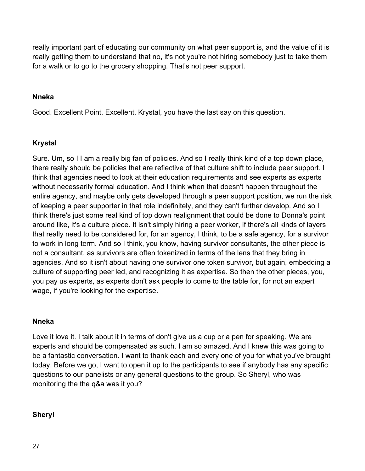really important part of educating our community on what peer support is, and the value of it is really getting them to understand that no, it's not you're not hiring somebody just to take them for a walk or to go to the grocery shopping. That's not peer support.

### **Nneka**

Good. Excellent Point. Excellent. Krystal, you have the last say on this question.

# **Krystal**

Sure. Um, so I I am a really big fan of policies. And so I really think kind of a top down place, there really should be policies that are reflective of that culture shift to include peer support. I think that agencies need to look at their education requirements and see experts as experts without necessarily formal education. And I think when that doesn't happen throughout the entire agency, and maybe only gets developed through a peer support position, we run the risk of keeping a peer supporter in that role indefinitely, and they can't further develop. And so I think there's just some real kind of top down realignment that could be done to Donna's point around like, it's a culture piece. It isn't simply hiring a peer worker, if there's all kinds of layers that really need to be considered for, for an agency, I think, to be a safe agency, for a survivor to work in long term. And so I think, you know, having survivor consultants, the other piece is not a consultant, as survivors are often tokenized in terms of the lens that they bring in agencies. And so it isn't about having one survivor one token survivor, but again, embedding a culture of supporting peer led, and recognizing it as expertise. So then the other pieces, you, you pay us experts, as experts don't ask people to come to the table for, for not an expert wage, if you're looking for the expertise.

### **Nneka**

Love it love it. I talk about it in terms of don't give us a cup or a pen for speaking. We are experts and should be compensated as such. I am so amazed. And I knew this was going to be a fantastic conversation. I want to thank each and every one of you for what you've brought today. Before we go, I want to open it up to the participants to see if anybody has any specific questions to our panelists or any general questions to the group. So Sheryl, who was monitoring the the q&a was it you?

### **Sheryl**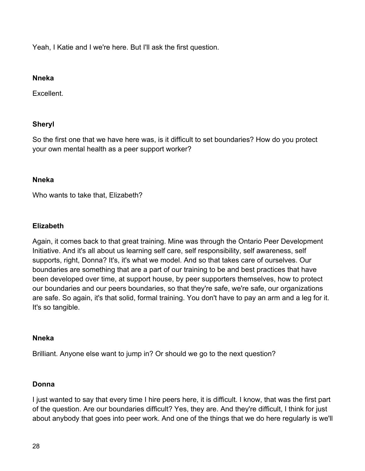Yeah, I Katie and I we're here. But I'll ask the first question.

#### **Nneka**

Excellent.

# **Sheryl**

So the first one that we have here was, is it difficult to set boundaries? How do you protect your own mental health as a peer support worker?

### **Nneka**

Who wants to take that, Elizabeth?

# **Elizabeth**

Again, it comes back to that great training. Mine was through the Ontario Peer Development Initiative. And it's all about us learning self care, self responsibility, self awareness, self supports, right, Donna? It's, it's what we model. And so that takes care of ourselves. Our boundaries are something that are a part of our training to be and best practices that have been developed over time, at support house, by peer supporters themselves, how to protect our boundaries and our peers boundaries, so that they're safe, we're safe, our organizations are safe. So again, it's that solid, formal training. You don't have to pay an arm and a leg for it. It's so tangible.

### **Nneka**

Brilliant. Anyone else want to jump in? Or should we go to the next question?

### **Donna**

I just wanted to say that every time I hire peers here, it is difficult. I know, that was the first part of the question. Are our boundaries difficult? Yes, they are. And they're difficult, I think for just about anybody that goes into peer work. And one of the things that we do here regularly is we'll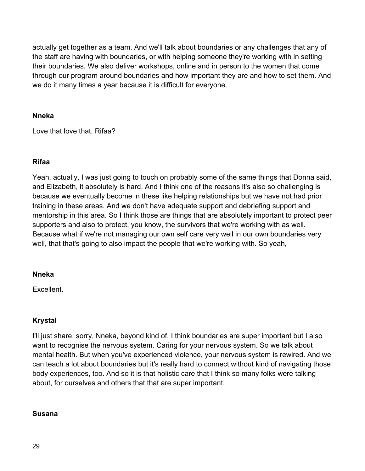actually get together as a team. And we'll talk about boundaries or any challenges that any of the staff are having with boundaries, or with helping someone they're working with in setting their boundaries. We also deliver workshops, online and in person to the women that come through our program around boundaries and how important they are and how to set them. And we do it many times a year because it is difficult for everyone.

### **Nneka**

Love that love that. Rifaa?

# **Rifaa**

Yeah, actually, I was just going to touch on probably some of the same things that Donna said, and Elizabeth, it absolutely is hard. And I think one of the reasons it's also so challenging is because we eventually become in these like helping relationships but we have not had prior training in these areas. And we don't have adequate support and debriefing support and mentorship in this area. So I think those are things that are absolutely important to protect peer supporters and also to protect, you know, the survivors that we're working with as well. Because what if we're not managing our own self care very well in our own boundaries very well, that that's going to also impact the people that we're working with. So yeah,

### **Nneka**

Excellent.

# **Krystal**

I'll just share, sorry, Nneka, beyond kind of, I think boundaries are super important but I also want to recognise the nervous system. Caring for your nervous system. So we talk about mental health. But when you've experienced violence, your nervous system is rewired. And we can teach a lot about boundaries but it's really hard to connect without kind of navigating those body experiences, too. And so it is that holistic care that I think so many folks were talking about, for ourselves and others that that are super important.

### **Susana**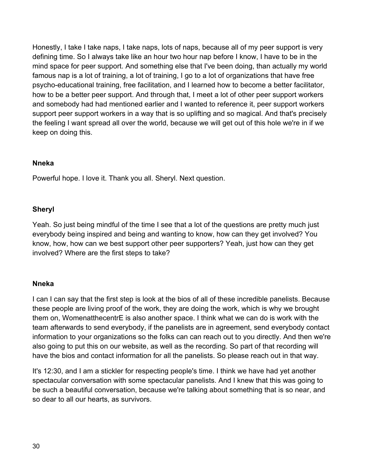Honestly, I take I take naps, I take naps, lots of naps, because all of my peer support is very defining time. So I always take like an hour two hour nap before I know, I have to be in the mind space for peer support. And something else that I've been doing, than actually my world famous nap is a lot of training, a lot of training, I go to a lot of organizations that have free psycho-educational training, free facilitation, and I learned how to become a better facilitator, how to be a better peer support. And through that, I meet a lot of other peer support workers and somebody had had mentioned earlier and I wanted to reference it, peer support workers support peer support workers in a way that is so uplifting and so magical. And that's precisely the feeling I want spread all over the world, because we will get out of this hole we're in if we keep on doing this.

### **Nneka**

Powerful hope. I love it. Thank you all. Sheryl. Next question.

#### **Sheryl**

Yeah. So just being mindful of the time I see that a lot of the questions are pretty much just everybody being inspired and being and wanting to know, how can they get involved? You know, how, how can we best support other peer supporters? Yeah, just how can they get involved? Where are the first steps to take?

#### **Nneka**

I can I can say that the first step is look at the bios of all of these incredible panelists. Because these people are living proof of the work, they are doing the work, which is why we brought them on, WomenatthecentrE is also another space. I think what we can do is work with the team afterwards to send everybody, if the panelists are in agreement, send everybody contact information to your organizations so the folks can can reach out to you directly. And then we're also going to put this on our website, as well as the recording. So part of that recording will have the bios and contact information for all the panelists. So please reach out in that way.

It's 12:30, and I am a stickler for respecting people's time. I think we have had yet another spectacular conversation with some spectacular panelists. And I knew that this was going to be such a beautiful conversation, because we're talking about something that is so near, and so dear to all our hearts, as survivors.